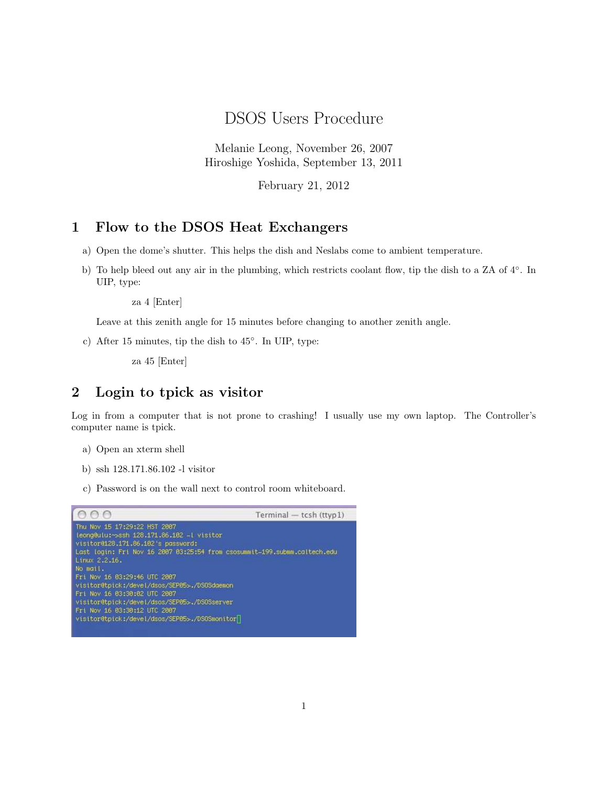DSOS Users Procedure

Melanie Leong, November 26, 2007 Hiroshige Yoshida, September 13, 2011

February 21, 2012

# 1 Flow to the DSOS Heat Exchangers

- a) Open the dome's shutter. This helps the dish and Neslabs come to ambient temperature.
- b) To help bleed out any air in the plumbing, which restricts coolant flow, tip the dish to a ZA of 4<sup>°</sup>. In UIP, type:

za 4 [Enter]

Leave at this zenith angle for 15 minutes before changing to another zenith angle.

c) After 15 minutes, tip the dish to 45◦ . In UIP, type:

za 45 [Enter]

### 2 Login to tpick as visitor

Log in from a computer that is not prone to crashing! I usually use my own laptop. The Controller's computer name is tpick.

- a) Open an xterm shell
- b) ssh 128.171.86.102 -l visitor
- c) Password is on the wall next to control room whiteboard.

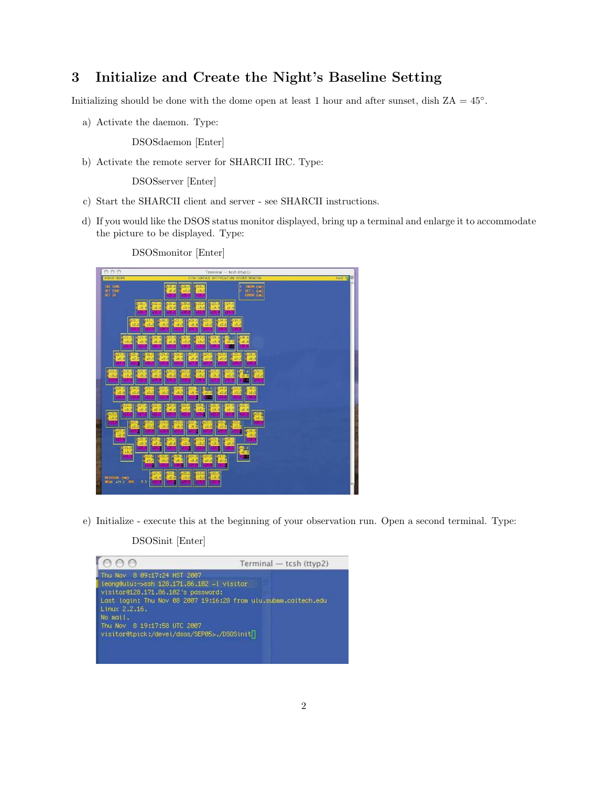### 3 Initialize and Create the Night's Baseline Setting

Initializing should be done with the dome open at least 1 hour and after sunset, dish  $ZA = 45^\circ$ .

a) Activate the daemon. Type:

DSOSdaemon [Enter]

b) Activate the remote server for SHARCII IRC. Type:

DSOSserver [Enter]

- c) Start the SHARCII client and server see SHARCII instructions.
- d) If you would like the DSOS status monitor displayed, bring up a terminal and enlarge it to accommodate the picture to be displayed. Type:

DSOSmonitor [Enter]



e) Initialize - execute this at the beginning of your observation run. Open a second terminal. Type:

DSOSinit [Enter]

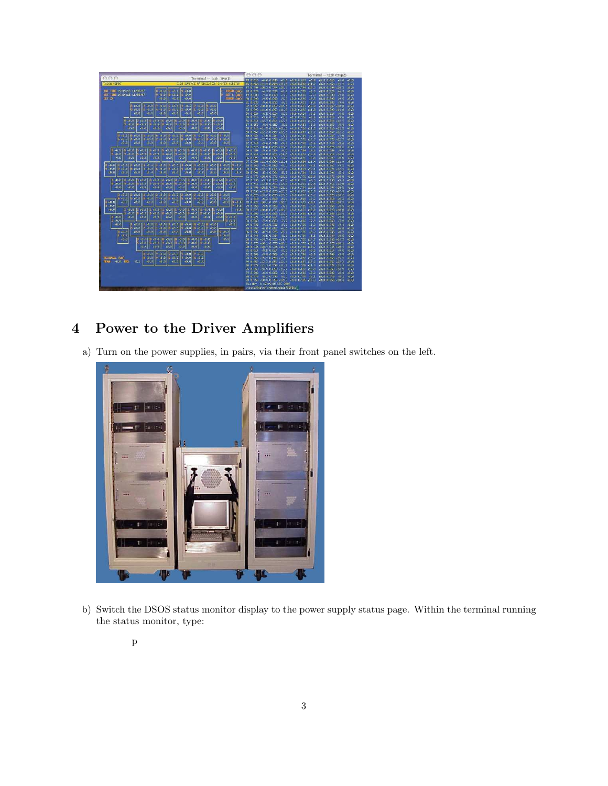

# 4 Power to the Driver Amplifiers

a) Turn on the power supplies, in pairs, via their front panel switches on the left.



b) Switch the DSOS status monitor display to the power supply status page. Within the terminal running the status monitor, type: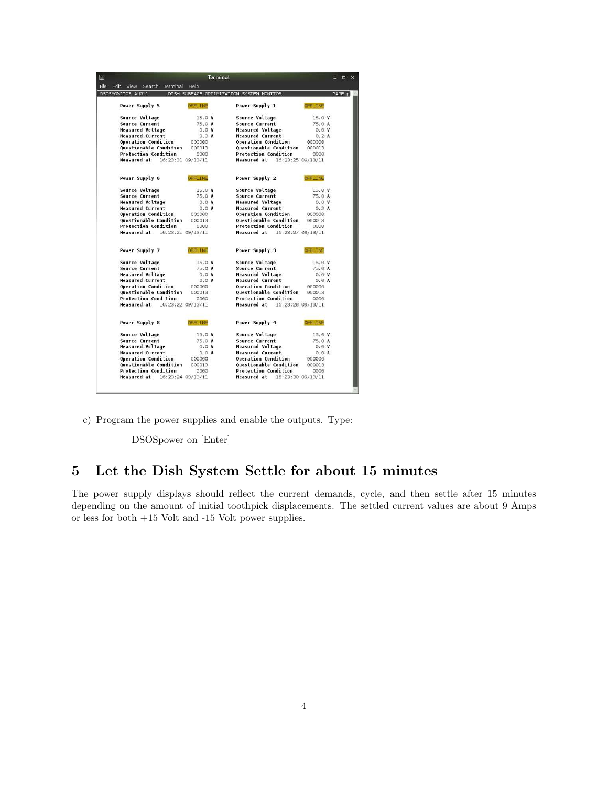|                                      |                 | <b>Terminal</b> |                                          |                |        |
|--------------------------------------|-----------------|-----------------|------------------------------------------|----------------|--------|
| Edit<br>View Search<br>Terminal Help |                 |                 |                                          |                |        |
| DSOSMONTTOR AUG11                    |                 |                 | DISH SURFACE OPTIMIZATION SYSTEM MONITOR |                | PAGE p |
| Power Supply 5                       | OFFILINE        |                 | Power Supply 1                           | <b>OFFLINE</b> |        |
| <b>Source Voltage</b>                | 15.0V           |                 | Source Voltage                           | 15.0V          |        |
| Source Current                       | 75.0 A          |                 | Source Current                           | 75.0 A         |        |
| <b>Measured Voltage</b>              | 0.0V            |                 | <b>Measured Voltage</b>                  | 0.0 V          |        |
| <b>Measured Current</b>              | 0.3A            |                 | <b>Measured Current</b>                  | 0.2A           |        |
| Operation Condition                  | 000000          |                 | Operation Condition                      | 000000         |        |
| <b>Ouestionable Condition</b>        | 000013          |                 | <b>Questionable Condition</b>            | 000013         |        |
| <b>Protection Condition</b>          | 0000            |                 | <b>Protection Condition</b>              | 0000           |        |
| Measured at<br>16:23:31 09/13/11     |                 |                 | Measured at<br>16:23:25 09/13/11         |                |        |
| Power Supply 6                       | <b>OFFILTNE</b> |                 | Power Supply 2                           | <b>DFFLINE</b> |        |
| <b>Source Voltage</b>                | 15.0V           |                 | Source Voltage                           | 15.0V          |        |
| <b>Source Current</b>                | 75.0 A          |                 | <b>Source Current</b>                    | 75.0 A         |        |
| <b>Measured Voltage</b>              | 0.0V            |                 | <b>Measured Voltage</b>                  | 0.0 V          |        |
| <b>Measured Current</b>              | 0.0A            |                 | <b>Measured Current</b>                  | 0.2A           |        |
| <b>Operation Condition</b>           | 000000          |                 | <b>Operation Condition</b>               | 000000         |        |
| <b>Ouestionable Condition</b>        | 000013          |                 | <b>Ouestionable Condition</b>            | 000013         |        |
| Protection Condition                 | 0000            |                 | <b>Protection Condition</b>              | 0000           |        |
| Measured at<br>16:23:21 09/13/11     |                 |                 | Measured at<br>16:23:27 09/13/11         |                |        |
| Power Supply 7                       | <b>OFFLINE</b>  |                 | Power Supply 3                           | <b>OFFLINE</b> |        |
| Source Voltage                       | 15.0V           |                 | Source Voltage                           | 15.0V          |        |
| Source Current                       | 75.0 A          |                 | Source Current                           | 75.0 A         |        |
| <b>Measured Voltage</b>              | 0.0V            |                 | <b>Measured Voltage</b>                  | 0.0 V          |        |
| <b>Measured Current</b>              | 0.0A            |                 | <b>Measured Current</b>                  | 0.0A           |        |
| <b>Operation Condition</b>           | 000000          |                 | <b>Operation Condition</b>               | 000000         |        |
| <b>Questionable Condition</b>        | 000013          |                 | <b>Questionable Condition</b>            | 000013         |        |
| <b>Protection Condition</b>          | 0000            |                 | <b>Protection Condition</b>              | 0000           |        |
| Measured at<br>16:23:22 09/13/11     |                 |                 | Measured at<br>16:23:28 09/13/11         |                |        |
| Power Supply 8                       | OFFLINE         |                 | Power Supply 4                           | DEFLINE        |        |
| Source Voltage                       | 15.0V           |                 | Source Voltage                           | 15.0V          |        |
| <b>Source Current</b>                | 75.0 A          |                 | <b>Source Current</b>                    | 75.0 A         |        |
| <b>Measured Voltage</b>              | 0.0V            |                 | <b>Measured Voltage</b>                  | 0.0V           |        |
| <b>Measured Current</b>              | 0.0A            |                 | <b>Measured Current</b>                  | 0.0A           |        |
| <b>Operation Condition</b>           | 000000          |                 | Operation Condition                      | 000000         |        |
| <b>Questionable Condition</b>        | 000013          |                 | <b>Questionable Condition</b>            | 000013         |        |
| <b>Protection Condition</b>          | 0000            |                 | <b>Protection Condition</b>              | 0000           |        |
| Measured at<br>16:23:24 09/13/11     |                 |                 | Measured at<br>16:23:30 09/13/11         |                |        |

c) Program the power supplies and enable the outputs. Type:

DSOSpower on [Enter]

## 5 Let the Dish System Settle for about 15 minutes

The power supply displays should reflect the current demands, cycle, and then settle after 15 minutes depending on the amount of initial toothpick displacements. The settled current values are about 9 Amps or less for both +15 Volt and -15 Volt power supplies.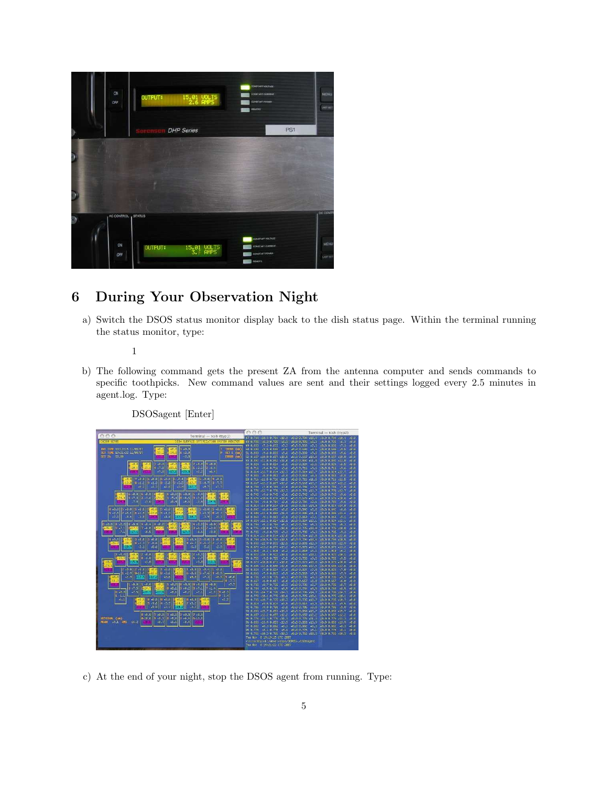

## 6 During Your Observation Night

a) Switch the DSOS status monitor display back to the dish status page. Within the terminal running the status monitor, type:

1

b) The following command gets the present ZA from the antenna computer and sends commands to specific toothpicks. New command values are sent and their settings logged every 2.5 minutes in agent.log. Type:



c) At the end of your night, stop the DSOS agent from running. Type: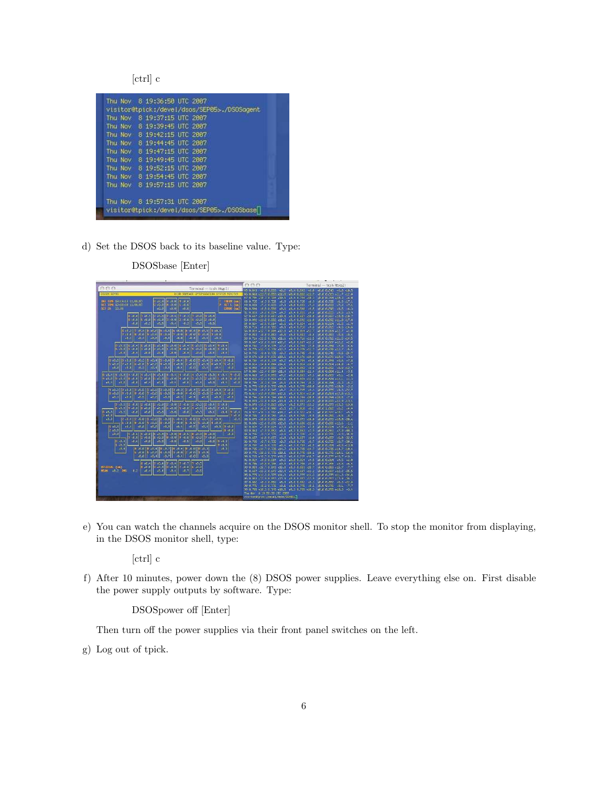[ctrl] c

|         | Thu Nov 8 19:37:15 UTC 2007 | visitor@tpick:/devel/dsos/SEP05>./DSOSaaent |  |
|---------|-----------------------------|---------------------------------------------|--|
|         |                             |                                             |  |
|         | Thu Nov 8 19:39:45 UTC 2887 |                                             |  |
| Thu Nov |                             | 8 19:42:15 UTC 2007                         |  |
| Thu Nov |                             | 8 19:44:45 UTC 2007                         |  |
| Thu Nov |                             | 8 19:47:15 UTC 2007                         |  |
| Thu Nov |                             | 8 19:49:45 UTC 2887                         |  |
| Thu Nov |                             | 8 19:52:15 UTC 2007                         |  |
| Thu Nov |                             | 8 19:54:45 UTC 2007                         |  |
| Thu Nov |                             | 8 19:57:15 UTC 2007                         |  |
|         | Thu Nov 8 19:57:31 HTC 2007 |                                             |  |

d) Set the DSOS back to its baseline value. Type:

|                                                                                                                                                                                                                                                                                                                                                                                                                                                            | A A B                                                                     |                                              | Terminal - tcsh (ttyp2)                                                    |
|------------------------------------------------------------------------------------------------------------------------------------------------------------------------------------------------------------------------------------------------------------------------------------------------------------------------------------------------------------------------------------------------------------------------------------------------------------|---------------------------------------------------------------------------|----------------------------------------------|----------------------------------------------------------------------------|
| 000<br>Terminal - tesh (ttyp1)                                                                                                                                                                                                                                                                                                                                                                                                                             | 45.0.843 +6.0.0.833 +6.7 +8.4 8.843 +6.8 +8.6 8.843 +6.0 -10.5            |                                              |                                                                            |
| <b>DISLEMENT REFINISHED SYSTEM NINTER</b><br>05001 50005                                                                                                                                                                                                                                                                                                                                                                                                   | 46 8.863 (11.7 8.853 (11.8) (8.4 8.863 (11.7) (6.6 6.663 (11.7) -12.8     |                                              |                                                                            |
|                                                                                                                                                                                                                                                                                                                                                                                                                                                            | 47 8:79+ +18:3 8:73+ +18:5 +8:4 8:754 +18:5 +8:5 8:754 +18:3 -6:8         |                                              |                                                                            |
| $9 - 0.0$<br>THE TIME IS: IS : 15 / EB/67<br>0.8.0<br>9.8.8                                                                                                                                                                                                                                                                                                                                                                                                | 48.0.725 +5.3.8.725<br>$+5.3$                                             | $+8.88.725 + 6.3$                            | $+0.00375 - 6.3 - 7.1$                                                     |
| $\begin{bmatrix} 1 & \text{HLM} & (\text{in}) \\ \text{P} & \text{SET L} & (\text{in}) \end{bmatrix}$<br>0,0,0<br>BET THE 19158138 11/88/87<br>$\mathbf{e}$ $\mathbf{e}$ of<br>$1 - 0.3$                                                                                                                                                                                                                                                                   | 49 8.833<br>$+7.3 + 333 +$<br>$-7.3$                                      | +8.8 8:633<br>$-7.7$                         | $+0.006333$<br>$-7.7 - .7$                                                 |
| <b>CONG (m)</b><br><b>BET ZA 53.00</b><br>$-610$<br>$-0.0$<br>$-0.0$                                                                                                                                                                                                                                                                                                                                                                                       | 50.0.593<br>$+9.5 - 3.533$                                                | +9.6 + +8.4 815981 +9.5                      | <b>AFLIC FLEGS</b><br>$-9.5$<br>$-6.3$                                     |
|                                                                                                                                                                                                                                                                                                                                                                                                                                                            | 52 8.833<br>$19.5 - 8.824$<br>$+917$                                      | $-9.16$<br>+814 81833                        | 48.6 B.633<br>$-9.6$<br>$-2.9$                                             |
| $17 + 6.8$<br>17 3.6117 3.4117 3.3117 3.3117 3.31<br>$3.36 - 8$                                                                                                                                                                                                                                                                                                                                                                                            | 52.8.657 +19.8 9.657 +18.8                                                | +8.8 8.657 +18.8                             | $+0.0$ $0.657 + 0.0 - 0.7$                                                 |
| $0.34 - 0.$<br>15,4628<br>$4 - 6.6$<br>$1 - 0.0$<br>$2 - 0.0$<br>$1 - 0.0$ $2 - 0.0$                                                                                                                                                                                                                                                                                                                                                                       | 53 8.922 +11.8 9.932 +11.2 +8.4 8.692 +11.6                               |                                              | 16.6.6.892 (11.8 17.8)                                                     |
| 98.8<br>$+0.3$<br>$-0.0$<br>$-0.4$<br>$-0.3$<br>30.0<br>$ -a,a $                                                                                                                                                                                                                                                                                                                                                                                           | 54 8.824 - 5.5 8.914 - 9.9 48.4 8.924 +6.5                                |                                              | $48.08324 - 6.5 - 4.9$                                                     |
|                                                                                                                                                                                                                                                                                                                                                                                                                                                            | 56-81716 1916-81785                                                       | 49.8 (8.4 E.716 (5.6)                        | $18.68.716$ $19.6$ $14.6$                                                  |
| 8 18 3   17 18 11   6 10 0     6 10 1   16 10 1   16 10 1   16 10 1   19 10 1                                                                                                                                                                                                                                                                                                                                                                              | 56 8.814 +12.7 8.894 +12.8 +8.1 8.814 +12.7                               |                                              | $+0.06614.4277 - 10$                                                       |
| $6.6.1$ $6.8.2$ $6.6.2$ $6.3.2$ $6.3.7$ $6.3.8$ $6.3.2$ $6.3.4$ $7.5.3$                                                                                                                                                                                                                                                                                                                                                                                    | 57 8.853 +3.8 3.853 +3.8 +3.8 8.853 +8.8                                  |                                              | $+0.6$ $0.853$ $+8.8$ $-8.4$                                               |
| $-8.31$<br>$-0.1$<br>$-0.01$<br>$-0.1$<br>$-0.0$ $-0.4$ $-40.4$ $-40.3$                                                                                                                                                                                                                                                                                                                                                                                    | 50.0.716 411.5 0.705 411.5 40.4 6.716 411.5                               |                                              | 46.6.6.716.411.5.4.5                                                       |
|                                                                                                                                                                                                                                                                                                                                                                                                                                                            | 59 8.667 +12.2 8.667 +12.2                                                | $+1.0$ 2.667. $+1$ .                         | $+0.0007 + 2.2$<br>$-2.0$                                                  |
|                                                                                                                                                                                                                                                                                                                                                                                                                                                            | 59 9.78 7.8 8.775 7.2 18.4 8.784 17.8                                     |                                              | +6.6 6.764 7.0<br>$-4.6$                                                   |
|                                                                                                                                                                                                                                                                                                                                                                                                                                                            | 61.0.775 +12.7.0.775 +12.7                                                | $+8.8.8.775 + 12.7$                          | $+0.005775 + 12.7$<br>$-5.1$                                               |
| $-36.4$<br>- 26.0 - 26.4<br>48.0<br>46.4<br>$+6.0$<br>$-8.4$<br>$-0.01$<br>$-3.5$                                                                                                                                                                                                                                                                                                                                                                          | 62 8.745 (9.6 8.735 (9.7 (8.4 8.745 (9.6)                                 |                                              | 16.6 6.745 9.6<br>$-24.7$                                                  |
|                                                                                                                                                                                                                                                                                                                                                                                                                                                            | 63 8.676 418.6 8.676 418.6                                                | 45.8 5.67% +10.6                             | 46.8 8.676 +10.6<br>$-3.0$                                                 |
|                                                                                                                                                                                                                                                                                                                                                                                                                                                            | 64.0.784 +9.6.0.775 +9.7                                                  | $-2.42.784 - 9.8$                            | $+0.0, 0.784, -0.6$<br>$+7.8$                                              |
| E.B. E.B. III B.B. E B.B. E B.B. E B.B. F 3.5. P 3.5. A 3.5 A 3.5 . E 3.5                                                                                                                                                                                                                                                                                                                                                                                  | 65 8.814 414.8 8.834 414.1 48.4 8.814 414.8                               |                                              | $16.66.814114.8$ $+ 7$                                                     |
| $-0.4$<br>$+0.4$<br>$-0.4$<br>$-0.01$<br>$-0.1$ $-0.1$ $-0.3$<br>$+8.8$<br>48.8<br>$+1.3$                                                                                                                                                                                                                                                                                                                                                                  | 66 81832 +818 91882 +819 +814 81892 +818 +818 51892 +818 +5272            |                                              |                                                                            |
|                                                                                                                                                                                                                                                                                                                                                                                                                                                            | $67.0.004$ $11.4.0.004$ $11.4$                                            | 48.8 8.884 411.4                             | $+1.1 + 1.133 + 3.34$<br>$-3.5$                                            |
| 8-64 9 4.64 1 4.64 1 4.64 1 4.64 1 4.64 1 4.64 1 4.64 1 4.64 1 4.64 1 4.54 1 4.64 1 4.64 1                                                                                                                                                                                                                                                                                                                                                                 | 68:0.863 +9:1 0.853 +9.2 +0.4 0.863 +5.1                                  |                                              | 46.000.000 +9.1<br>$-2.0$                                                  |
| اق قرر قرارة في 12 (10.0 م) [3 (20.0 م) [3 (10.0 م) [6 (10.0 م) [6 (10.0 م) [6 (10.0 م) [6 (10.0 م)                                                                                                                                                                                                                                                                                                                                                        | $69.0.821 + 12.1.0.824 + 12.1$                                            | $+8.8834 +12.1$                              | $+0.00331 + 12.1$<br>$-1.3$                                                |
| $+8.1$<br>$-8.7$<br>4818<br>$+0.4$    <br>$-0.1$<br>$-0.31$<br>$-0.0$<br>$-0.8$ $-0.0$ $-0.3$<br>$+8.3$                                                                                                                                                                                                                                                                                                                                                    | 70 8.79+ +5.3 8.73+ +5.5 +4.4 8.794 +5.3                                  |                                              | 48.8.8.994 6.3<br>$-6.2$                                                   |
|                                                                                                                                                                                                                                                                                                                                                                                                                                                            | 710.75 +13.8 3.775 +13.8 +3.8 8.775 +18.8                                 |                                              | $+0.00275 + 0.00$<br>$-2.2$                                                |
| [6,64 C] 6,64 C] [6,64 C] [7,64 C] [0,64 C] [8,64 C] [3,64 C] [3,94 C] [3,84 C] [2,64 P]                                                                                                                                                                                                                                                                                                                                                                   | 22.8.235 9.3.8.745 9.2                                                    | A 3 8 735 0.8                                | 16.0.0.75F 0.3.72.7                                                        |
| المقبط فمعبا ومعروا ومعرا العمد والعمت والعداد والعمر والعمود والعقروا                                                                                                                                                                                                                                                                                                                                                                                     | 73.8.801 +12.8.831 +12.1 +8.1 8.811 +12.8                                 |                                              | $+0.0.834 + 0.0 + 3.1$                                                     |
| $-0.01$<br>$-0.0$<br>$-0.9$ $-0.7$ $-0.8$ $-0.9$<br>$-0.11 - 0.01$<br>$+0.11$                                                                                                                                                                                                                                                                                                                                                                              | 74 8.794 418.5 8.794 418.5 +8.8 6.794 +10.5                               |                                              | 16.6.6.294 116.5 7.8                                                       |
|                                                                                                                                                                                                                                                                                                                                                                                                                                                            | 75 8.833 +12.9 8.824 +11.8 +8.1 8.833 +11.5                               |                                              | 40.0 0.000 41.0 41.0                                                       |
| 3 48.3 2 48.0 2 48.0 2 48.0 2 48.0 2 48.0 2 48.0 2 48.0 2 48.0                                                                                                                                                                                                                                                                                                                                                                                             | 76 8.873 +13.2 8.853 +13.4 +8.5 8.875 +13.2                               |                                              | $+0.6 + 873 + 13.2 = 3.8$                                                  |
| $-$ 6.6. $\frac{1}{2}$ 6.6. $\frac{1}{2}$ 6.6. $\frac{1}{2}$ 6.6. $\frac{1}{2}$ 6.6. $\frac{1}{2}$ 6.6. $\frac{1}{2}$ 6.6. $\frac{1}{2}$ 6.7. $\frac{1}{2}$                                                                                                                                                                                                                                                                                                | 77 1.010 16.2 0.998 16.5 18.7 1.016 16.2 16.6 1.016 16.2 14.4             |                                              |                                                                            |
| $8 + 8.3$<br>$+8.3$ 9 $+8.4$<br>$+8.3$<br>9.34<br>$+0.0$<br>$+0.0$<br>$-0.0$<br>$-0.01$<br>- 8.3<br>$-8.4$                                                                                                                                                                                                                                                                                                                                                 | 28.0.922.410.1.0.912.410.2.                                               | $40.0 - 0.027 - 10.1$                        | $+1$ <i>B B G22</i> $+10.1$<br>$-5h$                                       |
| $3 + 8.3$<br>$-7.49 -$                                                                                                                                                                                                                                                                                                                                                                                                                                     | 79.9.765 +9.5 9.745 +9.6 +8.4 8.755 +9.5                                  |                                              | 46.6.6.955 -9.5<br>$-0.7$                                                  |
| 2 16.4   2 16.8   1 16.6   1 16.8   1 16.9   1 16.9   1 16.9   1 16.9  <br>18.3<br>$1 + 8 = 4$                                                                                                                                                                                                                                                                                                                                                             | $31.873 + 13.8 + 3.853 + 18.1$                                            | $+8.18.873 + 18.8$                           | $+0.6$ $+0.87$ $+10.6$ $-20.6$                                             |
| $\pm$ + 0.0   0.0 + 0.0   0.0 + 0.0   0.0 + 0.0   0.0 + 0   0.0 + 0   0.0 + 0   0.0 + $\pm$                                                                                                                                                                                                                                                                                                                                                                | 81 8.686 +12.6 8.676 +12.8                                                | +8.4 8.686 +12.6                             | 18.8 8.666 12.6<br>$-1.1$                                                  |
| $\ B - B - B\ $ $\ B - B\ $ $\ B - B\ $<br>$-3.3$ $0.8.3$<br>$-0.01$ $-0.11$ $-0.51$<br>$-0.11$<br>$-0.011$                                                                                                                                                                                                                                                                                                                                                | 82 8.824<br>$47.8 - 8.324$<br>$-7.0$                                      | +0.0 0.024 +7.0                              | ALL U. U. CO.4<br>$-2.01 - 11.71$                                          |
| 2, 6, 8<br>$-8.3$                                                                                                                                                                                                                                                                                                                                                                                                                                          | 33:8.843<br>$-7.2 - 3.853$<br>$+8.1$                                      | $+8.38.863 + 7.9$                            | $-7.9 - 10.3$                                                              |
| $\frac{1}{2} \cdot \frac{1}{16} \cdot \frac{1}{3} \cdot \frac{1}{16} \cdot \frac{1}{16} \cdot \frac{1}{16} \cdot \frac{1}{16} \cdot \frac{1}{16} \cdot \frac{1}{16} \cdot \frac{1}{16} \cdot \frac{1}{16} \cdot \frac{1}{16} \cdot \frac{1}{16} \cdot \frac{1}{16} \cdot \frac{1}{16} \cdot \frac{1}{16} \cdot \frac{1}{16} \cdot \frac{1}{16} \cdot \frac{1}{16} \cdot \frac{1}{16} \cdot \frac{1}{16} \cdot \frac{1}{16} \cdot \frac$<br>$-9.31$<br>48.8 | 84.9.735<br>19.39.725<br>44.4                                             | AR.4 8,510<br>$-49.8$                        | JEL0 6,335<br>$-9.0 - 35.9$                                                |
| 12.84<br>$+2.6$<br>$+8.8$<br>$-8.8$<br>$-0.5$<br>$-8.8$ $-8.8$ $+3.3$<br>$-8.8$                                                                                                                                                                                                                                                                                                                                                                            | 35.0.657<br>$+6.0 - 0.657$<br>$+6,8$<br>36 8.735<br>$+3.78.735$<br>$+0.7$ | $+8.8 - 8.657$<br>$+6.8$<br>1818 81718 91817 | $+0.0.0$ , $+57$<br>$+6.0 - 22.5$<br>337.9 9.31<br>$-8.7 - 38$             |
| $8.34$ H<br> 0, 3, 3                                                                                                                                                                                                                                                                                                                                                                                                                                       |                                                                           |                                              |                                                                            |
| $+0.4$<br>$-40.3$                                                                                                                                                                                                                                                                                                                                                                                                                                          | 37.0.734<br>$+3.5 - 0.775$<br>$-0.6$<br>88 0.735 +1 -7 3.735 +1+7         | $+0.3, 0.704, -0.5$<br>+8.8 8.755 +14.7      | $+0.10 - 0.76 - 1$<br>$-3.5 - 1.5.0$<br>$+6.6.6$ , $755$ , $+1.7$ , $+0.4$ |
| $\begin{vmatrix} 0 & 0 & 0 \\ 0 & 0 & 0 \\ 0 & 0 & 0 \\ 0 & 0 & 0 \\ 0 & 0 & 0 \\ \end{vmatrix} \begin{vmatrix} 0 & 0 & 0 \\ 0 & 0 & 0 \\ 0 & 0 & 0 \\ 0 & 0 & 0 \\ 0 & 0 & 0 \\ 0 & 0 & 0 \\ 0 & 0 & 0 \\ 0 & 0 & 0 \\ 0 & 0 & 0 \\ 0 & 0 & 0 \\ 0 & 0 & 0 \\ 0 & 0 & 0 \\ 0 & 0 & 0 \\ 0 & 0 & 0 \\ 0 & 0 & 0 \\ 0 & 0 & 0 \\ 0 & 0 & 0 \\ 0 & $                                                                                                         | 39/8.775 419.1 8.775 418.1 48.8 8.775 418.1                               |                                              | 46.6 6.975.410.1 -16.0                                                     |
| $-0.7$   <br>.0.011<br>$-0.4$ $-0.0$ $-0.3$<br>$+0.4$                                                                                                                                                                                                                                                                                                                                                                                                      | 20.0.735 +10.7.0.735 +10.7                                                | 48.8 8.235 410.7                             | $+0.0.235 + 0.7 - 18.5$                                                    |
|                                                                                                                                                                                                                                                                                                                                                                                                                                                            | 91 8.014 +9.5 8.014 +9.5 +8.0 m.014 +5.5                                  |                                              | +6.6.6.644 +9.6 -2.8                                                       |
| $7.04$ $7.07$<br>8.41<br>7.04                                                                                                                                                                                                                                                                                                                                                                                                                              | 02.0.705 +3.3.3.735 +3.8 +8.0.8.786 +5.8                                  |                                              | 46.6.6.766 +9.8 +6.4                                                       |
| $0.64$ at a $ 0.64$ at $ 0.84$ and $ 0.84$ at $ 0.34$ at $ 0.34$<br><b>BESTORAL (UM)</b>                                                                                                                                                                                                                                                                                                                                                                   | 93 8.853 (15.7 9.843 (15.8)                                               | (8.3 6.853 +15.7)                            | $E.6.6.853 + 15.7$<br>7.7                                                  |
| $ 0.3 $ $ 0.4 $ $ 0.3 $<br>$-0.4$<br>$-0.7$<br>$-8.5$<br><b>IEAN 48.7 RMS</b>                                                                                                                                                                                                                                                                                                                                                                              | 94 0.057 +12.2 0.057 +12.4 +1.4 +1.657 +1.1. +1.0 0.057 +1.2 +25.5        |                                              |                                                                            |
|                                                                                                                                                                                                                                                                                                                                                                                                                                                            | 95.8.775 +11.3 8.775 +11.3 +8.8 8.775 +11.3                               |                                              | $+0.00275 +11.3 -31.6$                                                     |
|                                                                                                                                                                                                                                                                                                                                                                                                                                                            |                                                                           |                                              |                                                                            |
|                                                                                                                                                                                                                                                                                                                                                                                                                                                            | $97.0.832$ $+8.3.3.832$ $+8.3$ $+8.8.8.82$ $+8.3$                         |                                              | $6.3 - 3.3 - 8.3$                                                          |
|                                                                                                                                                                                                                                                                                                                                                                                                                                                            | 90 8.775 (8.1 8.775 (8.1 (8.6 8.775 (8.1 (8.6 8.775 (8.1 -7.7             |                                              |                                                                            |
|                                                                                                                                                                                                                                                                                                                                                                                                                                                            | 99 8.755 +18.3 8.749 +18.5 +8.3 8.755 +18.3 +8.0 0.755 +18.3 -3.4         |                                              |                                                                            |
|                                                                                                                                                                                                                                                                                                                                                                                                                                                            | Thu Nov. 3 19:59:38 UTC 2887                                              |                                              |                                                                            |
|                                                                                                                                                                                                                                                                                                                                                                                                                                                            | wisitor@tpick1/devel/dsos/SLPaSyl]                                        |                                              |                                                                            |
|                                                                                                                                                                                                                                                                                                                                                                                                                                                            |                                                                           |                                              |                                                                            |

DSOSbase [Enter]

e) You can watch the channels acquire on the DSOS monitor shell. To stop the monitor from displaying, in the DSOS monitor shell, type:

[ctrl] c

f) After 10 minutes, power down the (8) DSOS power supplies. Leave everything else on. First disable the power supply outputs by software. Type:

DSOSpower off [Enter]

Then turn off the power supplies via their front panel switches on the left.

g) Log out of tpick.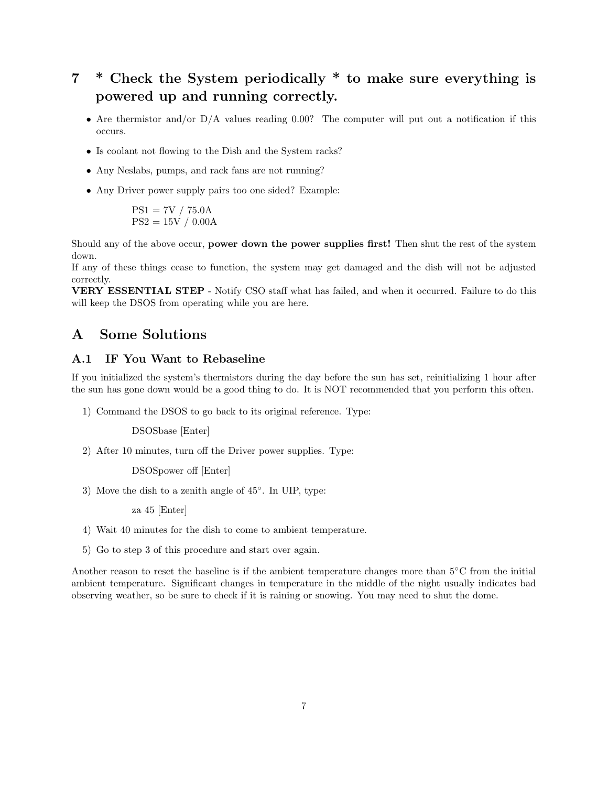## 7 \* Check the System periodically \* to make sure everything is powered up and running correctly.

- Are thermistor and/or D/A values reading 0.00? The computer will put out a notification if this occurs.
- Is coolant not flowing to the Dish and the System racks?
- Any Neslabs, pumps, and rack fans are not running?
- Any Driver power supply pairs too one sided? Example:

$$
PS1 = 7V / 75.0A
$$
  
PS2 = 15V / 0.00A

Should any of the above occur, power down the power supplies first! Then shut the rest of the system down.

If any of these things cease to function, the system may get damaged and the dish will not be adjusted correctly.

VERY ESSENTIAL STEP - Notify CSO staff what has failed, and when it occurred. Failure to do this will keep the DSOS from operating while you are here.

#### A Some Solutions

#### A.1 IF You Want to Rebaseline

If you initialized the system's thermistors during the day before the sun has set, reinitializing 1 hour after the sun has gone down would be a good thing to do. It is NOT recommended that you perform this often.

1) Command the DSOS to go back to its original reference. Type:

DSOSbase [Enter]

2) After 10 minutes, turn off the Driver power supplies. Type:

DSOSpower off [Enter]

3) Move the dish to a zenith angle of 45◦ . In UIP, type:

za 45 [Enter]

- 4) Wait 40 minutes for the dish to come to ambient temperature.
- 5) Go to step 3 of this procedure and start over again.

Another reason to reset the baseline is if the ambient temperature changes more than 5◦C from the initial ambient temperature. Significant changes in temperature in the middle of the night usually indicates bad observing weather, so be sure to check if it is raining or snowing. You may need to shut the dome.